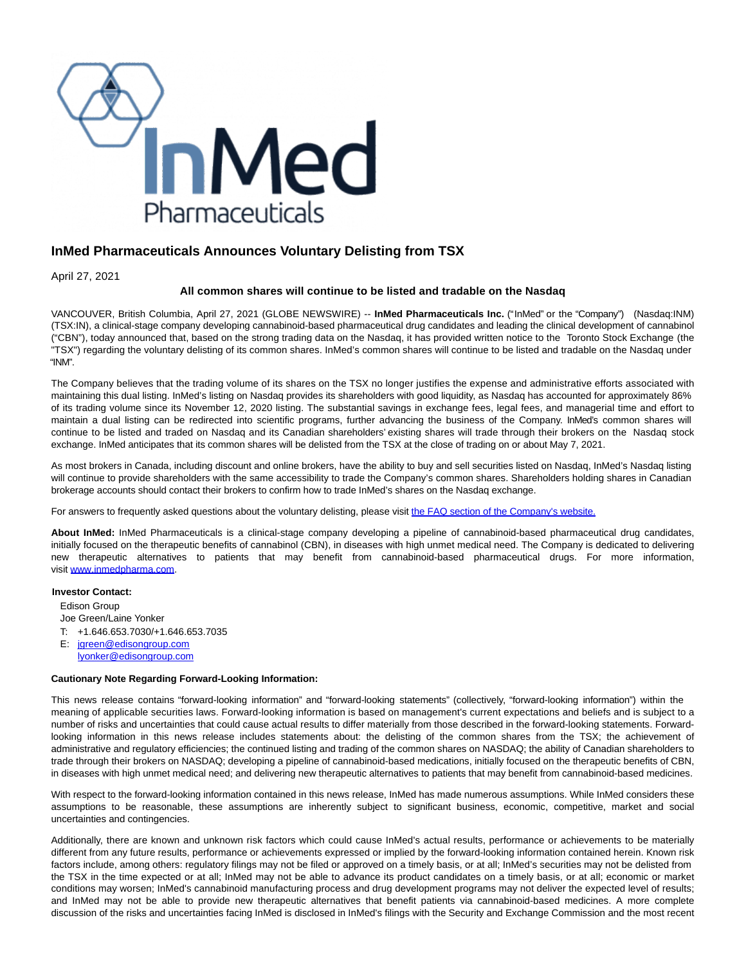

## **InMed Pharmaceuticals Announces Voluntary Delisting from TSX**

April 27, 2021

## **All common shares will continue to be listed and tradable on the Nasdaq**

VANCOUVER, British Columbia, April 27, 2021 (GLOBE NEWSWIRE) -- **InMed Pharmaceuticals Inc.** ("InMed" or the "Company") (Nasdaq:INM) (TSX:IN), a clinical-stage company developing cannabinoid-based pharmaceutical drug candidates and leading the clinical development of cannabinol ("CBN"), today announced that, based on the strong trading data on the Nasdaq, it has provided written notice to the Toronto Stock Exchange (the "TSX") regarding the voluntary delisting of its common shares. InMed's common shares will continue to be listed and tradable on the Nasdaq under "INM".

The Company believes that the trading volume of its shares on the TSX no longer justifies the expense and administrative efforts associated with maintaining this dual listing. InMed's listing on Nasdaq provides its shareholders with good liquidity, as Nasdaq has accounted for approximately 86% of its trading volume since its November 12, 2020 listing. The substantial savings in exchange fees, legal fees, and managerial time and effort to maintain a dual listing can be redirected into scientific programs, further advancing the business of the Company. InMed's common shares will continue to be listed and traded on Nasdaq and its Canadian shareholders' existing shares will trade through their brokers on the Nasdaq stock exchange. InMed anticipates that its common shares will be delisted from the TSX at the close of trading on or about May 7, 2021.

As most brokers in Canada, including discount and online brokers, have the ability to buy and sell securities listed on Nasdaq, InMed's Nasdaq listing will continue to provide shareholders with the same accessibility to trade the Company's common shares. Shareholders holding shares in Canadian brokerage accounts should contact their brokers to confirm how to trade InMed's shares on the Nasdaq exchange.

For answers to frequently asked questions about the voluntary delisting, please visit [the FAQ section of the Company's website.](https://www.globenewswire.com/Tracker?data=zhHkEzRnqbD7Kt_6ImrknQV5Ddtklauwg-b7ttrAkavRzxfWB58xR_sTy0dn5KeW_Qbaa6Mgg0-Z1tUNPAFon_vIrXVUiyWxuORhtPaTpOQ4PsWStCL72OELZxfSEs9Da6JqxYWqaZKH03rkYJqpuw==)

**About InMed:** InMed Pharmaceuticals is a clinical-stage company developing a pipeline of cannabinoid-based pharmaceutical drug candidates, initially focused on the therapeutic benefits of cannabinol (CBN), in diseases with high unmet medical need. The Company is dedicated to delivering new therapeutic alternatives to patients that may benefit from cannabinoid-based pharmaceutical drugs. For more information, visit [www.inmedpharma.com.](https://www.globenewswire.com/Tracker?data=Cut80u4JBsFbKtYjcu0XI8mEwNgNCsWbcAqqX0xFok8JQO_obZ13i0K7u9G09sgo0NFORSGD33HHF3vgn96vp__gRID2MpRiCZyIGtNVEF8=)

## **Investor Contact:**

Edison Group Joe Green/Laine Yonker T: +1.646.653.7030/+1.646.653.7035 E: [jgreen@edisongroup.com](mailto:jgreen@edisongroup.com)

[lyonker@edisongroup.com](mailto:lyonker@edisongroup.com)

## **Cautionary Note Regarding Forward-Looking Information:**

This news release contains "forward-looking information" and "forward-looking statements" (collectively, "forward-looking information") within the meaning of applicable securities laws. Forward-looking information is based on management's current expectations and beliefs and is subject to a number of risks and uncertainties that could cause actual results to differ materially from those described in the forward-looking statements. Forwardlooking information in this news release includes statements about: the delisting of the common shares from the TSX; the achievement of administrative and regulatory efficiencies; the continued listing and trading of the common shares on NASDAQ; the ability of Canadian shareholders to trade through their brokers on NASDAQ; developing a pipeline of cannabinoid-based medications, initially focused on the therapeutic benefits of CBN, in diseases with high unmet medical need; and delivering new therapeutic alternatives to patients that may benefit from cannabinoid-based medicines.

With respect to the forward-looking information contained in this news release, InMed has made numerous assumptions. While InMed considers these assumptions to be reasonable, these assumptions are inherently subject to significant business, economic, competitive, market and social uncertainties and contingencies.

Additionally, there are known and unknown risk factors which could cause InMed's actual results, performance or achievements to be materially different from any future results, performance or achievements expressed or implied by the forward-looking information contained herein. Known risk factors include, among others: regulatory filings may not be filed or approved on a timely basis, or at all; InMed's securities may not be delisted from the TSX in the time expected or at all; InMed may not be able to advance its product candidates on a timely basis, or at all; economic or market conditions may worsen; InMed's cannabinoid manufacturing process and drug development programs may not deliver the expected level of results; and InMed may not be able to provide new therapeutic alternatives that benefit patients via cannabinoid-based medicines. A more complete discussion of the risks and uncertainties facing InMed is disclosed in InMed's filings with the Security and Exchange Commission and the most recent